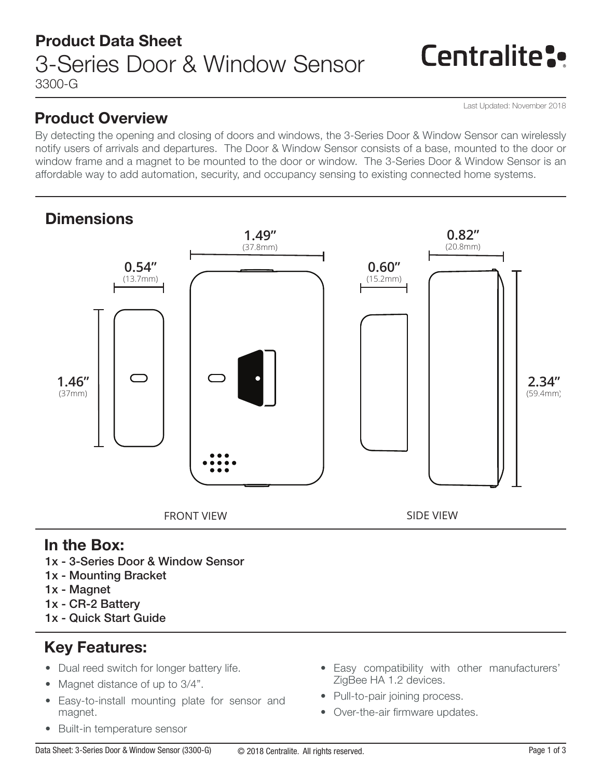# Centralite:

Last Updated: November 2018

### Product Overview

By detecting the opening and closing of doors and windows, the 3-Series Door & Window Sensor can wirelessly notify users of arrivals and departures. The Door & Window Sensor consists of a base, mounted to the door or window frame and a magnet to be mounted to the door or window. The 3-Series Door & Window Sensor is an affordable way to add automation, security, and occupancy sensing to existing connected home systems.



### In the Box:

- 1x 3-Series Door & Window Sensor
- 1x Mounting Bracket
- 1x Magnet
- 1x CR-2 Battery
- 1x Quick Start Guide

## Key Features:

- Dual reed switch for longer battery life.
- Magnet distance of up to 3/4".
- Easy-to-install mounting plate for sensor and magnet.
- Built-in temperature sensor
- Easy compatibility with other manufacturers' ZigBee HA 1.2 devices.
- Pull-to-pair joining process.
- Over-the-air firmware updates.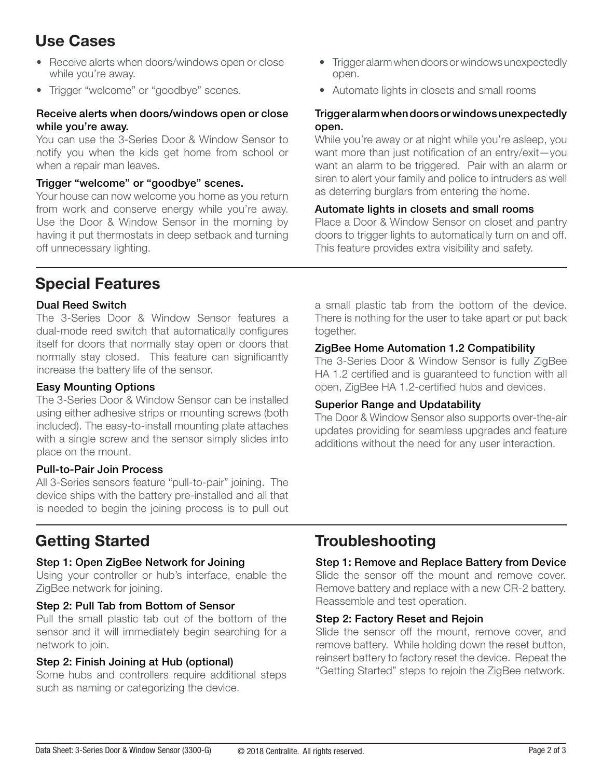## Use Cases

- Receive alerts when doors/windows open or close while you're away.
- Trigger "welcome" or "goodbye" scenes.

#### Receive alerts when doors/windows open or close while you're away.

You can use the 3-Series Door & Window Sensor to notify you when the kids get home from school or when a repair man leaves.

#### Trigger "welcome" or "goodbye" scenes.

Your house can now welcome you home as you return from work and conserve energy while you're away. Use the Door & Window Sensor in the morning by having it put thermostats in deep setback and turning off unnecessary lighting.

- Trigger alarm when doors or windows unexpectedly open.
- Automate lights in closets and small rooms

#### Trigger alarm when doors or windows unexpectedly open.

While you're away or at night while you're asleep, you want more than just notification of an entry/exit—you want an alarm to be triggered. Pair with an alarm or siren to alert your family and police to intruders as well as deterring burglars from entering the home.

#### Automate lights in closets and small rooms

Place a Door & Window Sensor on closet and pantry doors to trigger lights to automatically turn on and off. This feature provides extra visibility and safety.

### Special Features

#### Dual Reed Switch

The 3-Series Door & Window Sensor features a dual-mode reed switch that automatically configures itself for doors that normally stay open or doors that normally stay closed. This feature can significantly increase the battery life of the sensor.

#### Easy Mounting Options

The 3-Series Door & Window Sensor can be installed using either adhesive strips or mounting screws (both included). The easy-to-install mounting plate attaches with a single screw and the sensor simply slides into place on the mount.

#### Pull-to-Pair Join Process

All 3-Series sensors feature "pull-to-pair" joining. The device ships with the battery pre-installed and all that is needed to begin the joining process is to pull out

#### a small plastic tab from the bottom of the device. There is nothing for the user to take apart or put back together.

#### ZigBee Home Automation 1.2 Compatibility

The 3-Series Door & Window Sensor is fully ZigBee HA 1.2 certified and is guaranteed to function with all open, ZigBee HA 1.2-certified hubs and devices.

#### Superior Range and Updatability

The Door & Window Sensor also supports over-the-air updates providing for seamless upgrades and feature additions without the need for any user interaction.

#### Step 1: Open ZigBee Network for Joining

Using your controller or hub's interface, enable the ZigBee network for joining.

#### Step 2: Pull Tab from Bottom of Sensor

Pull the small plastic tab out of the bottom of the sensor and it will immediately begin searching for a network to join.

#### Step 2: Finish Joining at Hub (optional)

Some hubs and controllers require additional steps such as naming or categorizing the device.

### Getting Started Troubleshooting

#### Step 1: Remove and Replace Battery from Device

Slide the sensor off the mount and remove cover. Remove battery and replace with a new CR-2 battery. Reassemble and test operation.

#### Step 2: Factory Reset and Rejoin

Slide the sensor off the mount, remove cover, and remove battery. While holding down the reset button, reinsert battery to factory reset the device. Repeat the "Getting Started" steps to rejoin the ZigBee network.